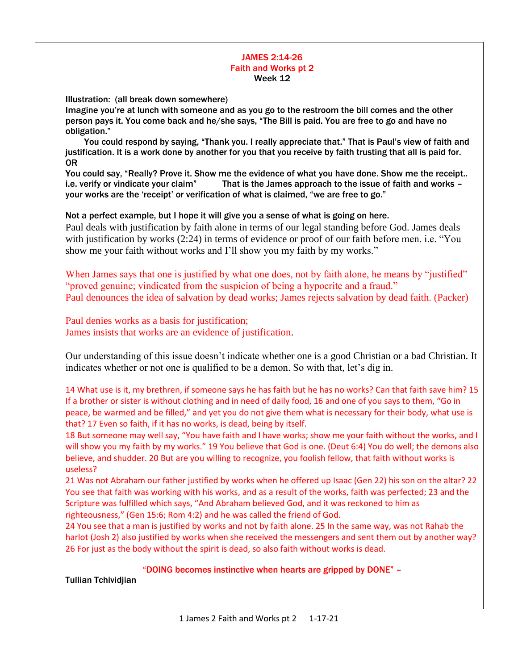## JAMES 2:14-26 Faith and Works pt 2 Week 12

Illustration: (all break down somewhere)

Imagine you're at lunch with someone and as you go to the restroom the bill comes and the other person pays it. You come back and he/she says, "The Bill is paid. You are free to go and have no obligation."

 You could respond by saying, "Thank you. I really appreciate that." That is Paul's view of faith and justification. It is a work done by another for you that you receive by faith trusting that all is paid for. OR

You could say, "Really? Prove it. Show me the evidence of what you have done. Show me the receipt.. i.e. verify or vindicate your claim" That is the James approach to the issue of faith and works – your works are the 'receipt' or verification of what is claimed, "we are free to go."

Not a perfect example, but I hope it will give you a sense of what is going on here. Paul deals with justification by faith alone in terms of our legal standing before God. James deals with justification by works (2:24) in terms of evidence or proof of our faith before men. i.e. "You show me your faith without works and I'll show you my faith by my works."

When James says that one is justified by what one does, not by faith alone, he means by "justified" "proved genuine; vindicated from the suspicion of being a hypocrite and a fraud." Paul denounces the idea of salvation by dead works; James rejects salvation by dead faith. (Packer)

Paul denies works as a basis for justification; James insists that works are an evidence of justification.

Our understanding of this issue doesn't indicate whether one is a good Christian or a bad Christian. It indicates whether or not one is qualified to be a demon. So with that, let's dig in.

14 What use is it, my brethren, if someone says he has faith but he has no works? Can that faith save him? 15 If a brother or sister is without clothing and in need of daily food, 16 and one of you says to them, "Go in peace, be warmed and be filled," and yet you do not give them what is necessary for their body, what use is that? 17 Even so faith, if it has no works, is dead, being by itself.

18 But someone may well say, "You have faith and I have works; show me your faith without the works, and I will show you my faith by my works." 19 You believe that God is one. (Deut 6:4) You do well; the demons also believe, and shudder. 20 But are you willing to recognize, you foolish fellow, that faith without works is useless?

21 Was not Abraham our father justified by works when he offered up Isaac (Gen 22) his son on the altar? 22 You see that faith was working with his works, and as a result of the works, faith was perfected; 23 and the Scripture was fulfilled which says, "And Abraham believed God, and it was reckoned to him as righteousness," (Gen 15:6; Rom 4:2) and he was called the friend of God.

24 You see that a man is justified by works and not by faith alone. 25 In the same way, was not Rahab the harlot (Josh 2) also justified by works when she received the messengers and sent them out by another way? 26 For just as the body without the spirit is dead, so also faith without works is dead.

## "DOING becomes instinctive when hearts are gripped by DONE" –

Tullian Tchividjian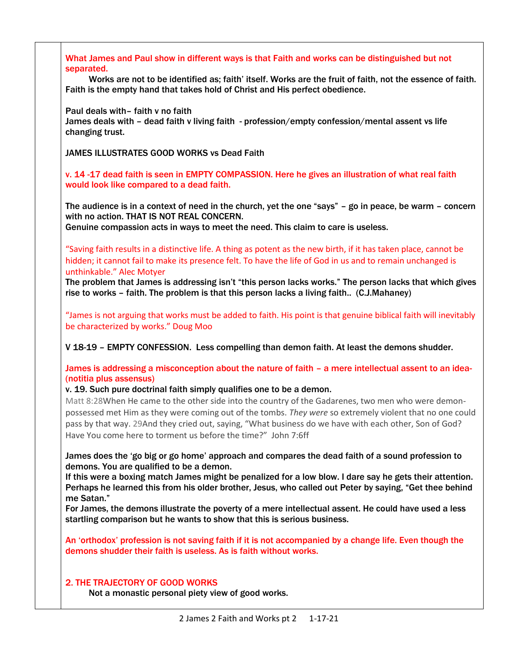What James and Paul show in different ways is that Faith and works can be distinguished but not separated. Works are not to be identified as; faith' itself. Works are the fruit of faith, not the essence of faith. Faith is the empty hand that takes hold of Christ and His perfect obedience. Paul deals with– faith v no faith James deals with – dead faith v living faith - profession/empty confession/mental assent vs life changing trust. JAMES ILLUSTRATES GOOD WORKS vs Dead Faith v. 14 -17 dead faith is seen in EMPTY COMPASSION. Here he gives an illustration of what real faith would look like compared to a dead faith. The audience is in a context of need in the church, yet the one "says" – go in peace, be warm – concern with no action. THAT IS NOT REAL CONCERN. Genuine compassion acts in ways to meet the need. This claim to care is useless. "Saving faith results in a distinctive life. A thing as potent as the new birth, if it has taken place, cannot be hidden; it cannot fail to make its presence felt. To have the life of God in us and to remain unchanged is unthinkable." Alec Motyer The problem that James is addressing isn't "this person lacks works." The person lacks that which gives rise to works – faith. The problem is that this person lacks a living faith.. (C.J.Mahaney) "James is not arguing that works must be added to faith. His point is that genuine biblical faith will inevitably be characterized by works." Doug Moo V 18-19 – EMPTY CONFESSION. Less compelling than demon faith. At least the demons shudder. James is addressing a misconception about the nature of faith – a mere intellectual assent to an idea- (notitia plus assensus) v. 19. Such pure doctrinal faith simply qualifies one to be a demon. Matt 8:28When He came to the other side into the country of the Gadarenes, two men who were demonpossessed met Him as they were coming out of the tombs. *They were* so extremely violent that no one could pass by that way. 29And they cried out, saying, "What business do we have with each other, Son of God? Have You come here to torment us before the time?" John 7:6ff James does the 'go big or go home' approach and compares the dead faith of a sound profession to demons. You are qualified to be a demon. If this were a boxing match James might be penalized for a low blow. I dare say he gets their attention. Perhaps he learned this from his older brother, Jesus, who called out Peter by saying, "Get thee behind me Satan." For James, the demons illustrate the poverty of a mere intellectual assent. He could have used a less startling comparison but he wants to show that this is serious business. An 'orthodox' profession is not saving faith if it is not accompanied by a change life. Even though the demons shudder their faith is useless. As is faith without works. 2. THE TRAJECTORY OF GOOD WORKS Not a monastic personal piety view of good works.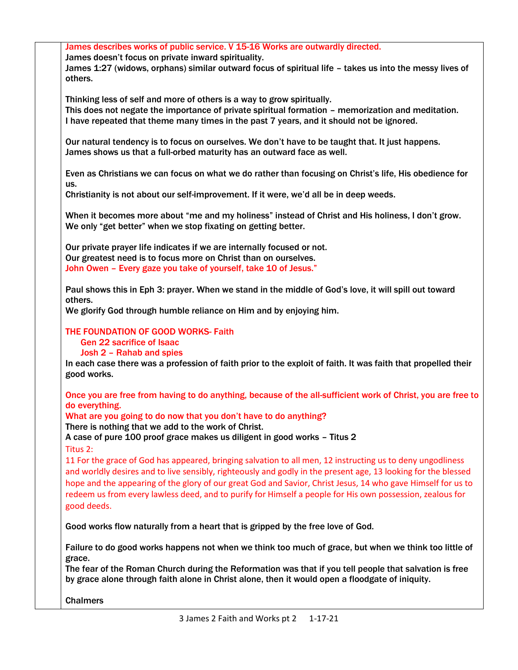| James describes works of public service. V 15-16 Works are outwardly directed.                                 |
|----------------------------------------------------------------------------------------------------------------|
| James doesn't focus on private inward spirituality.                                                            |
| James 1:27 (widows, orphans) similar outward focus of spiritual life - takes us into the messy lives of        |
| others.                                                                                                        |
|                                                                                                                |
| Thinking less of self and more of others is a way to grow spiritually.                                         |
|                                                                                                                |
| This does not negate the importance of private spiritual formation - memorization and meditation.              |
| I have repeated that theme many times in the past 7 years, and it should not be ignored.                       |
|                                                                                                                |
| Our natural tendency is to focus on ourselves. We don't have to be taught that. It just happens.               |
| James shows us that a full-orbed maturity has an outward face as well.                                         |
|                                                                                                                |
| Even as Christians we can focus on what we do rather than focusing on Christ's life, His obedience for         |
| us.                                                                                                            |
|                                                                                                                |
| Christianity is not about our self-improvement. If it were, we'd all be in deep weeds.                         |
|                                                                                                                |
| When it becomes more about "me and my holiness" instead of Christ and His holiness, I don't grow.              |
| We only "get better" when we stop fixating on getting better.                                                  |
|                                                                                                                |
| Our private prayer life indicates if we are internally focused or not.                                         |
| Our greatest need is to focus more on Christ than on ourselves.                                                |
|                                                                                                                |
| John Owen - Every gaze you take of yourself, take 10 of Jesus."                                                |
|                                                                                                                |
| Paul shows this in Eph 3: prayer. When we stand in the middle of God's love, it will spill out toward          |
| others.                                                                                                        |
| We glorify God through humble reliance on Him and by enjoying him.                                             |
|                                                                                                                |
| THE FOUNDATION OF GOOD WORKS- Faith                                                                            |
| <b>Gen 22 sacrifice of Isaac</b>                                                                               |
|                                                                                                                |
| Josh 2 - Rahab and spies                                                                                       |
| In each case there was a profession of faith prior to the exploit of faith. It was faith that propelled their  |
| good works.                                                                                                    |
|                                                                                                                |
| Once you are free from having to do anything, because of the all-sufficient work of Christ, you are free to    |
| do everything.                                                                                                 |
| What are you going to do now that you don't have to do anything?                                               |
| There is nothing that we add to the work of Christ.                                                            |
|                                                                                                                |
| A case of pure 100 proof grace makes us diligent in good works - Titus 2                                       |
| Titus 2:                                                                                                       |
| 11 For the grace of God has appeared, bringing salvation to all men, 12 instructing us to deny ungodliness     |
| and worldly desires and to live sensibly, righteously and godly in the present age, 13 looking for the blessed |
|                                                                                                                |
| hope and the appearing of the glory of our great God and Savior, Christ Jesus, 14 who gave Himself for us to   |
| redeem us from every lawless deed, and to purify for Himself a people for His own possession, zealous for      |
| good deeds.                                                                                                    |
|                                                                                                                |
| Good works flow naturally from a heart that is gripped by the free love of God.                                |
|                                                                                                                |
| Failure to do good works happens not when we think too much of grace, but when we think too little of          |
|                                                                                                                |
| grace.                                                                                                         |
| The fear of the Roman Church during the Reformation was that if you tell people that salvation is free         |
| by grace alone through faith alone in Christ alone, then it would open a floodgate of iniquity.                |
|                                                                                                                |
| <b>Chalmers</b>                                                                                                |
|                                                                                                                |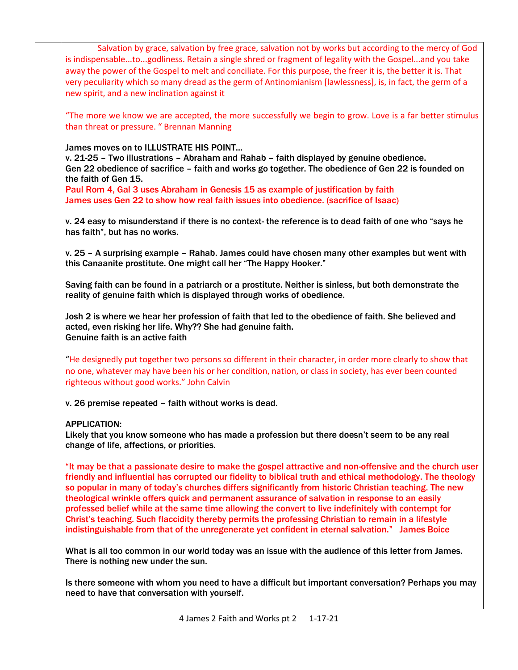| Salvation by grace, salvation by free grace, salvation not by works but according to the mercy of God<br>is indispensabletogodliness. Retain a single shred or fragment of legality with the Gospeland you take<br>away the power of the Gospel to melt and conciliate. For this purpose, the freer it is, the better it is. That<br>very peculiarity which so many dread as the germ of Antinomianism [lawlessness], is, in fact, the germ of a<br>new spirit, and a new inclination against it                                                                                                                                                                                                                                                      |
|-------------------------------------------------------------------------------------------------------------------------------------------------------------------------------------------------------------------------------------------------------------------------------------------------------------------------------------------------------------------------------------------------------------------------------------------------------------------------------------------------------------------------------------------------------------------------------------------------------------------------------------------------------------------------------------------------------------------------------------------------------|
| "The more we know we are accepted, the more successfully we begin to grow. Love is a far better stimulus<br>than threat or pressure. "Brennan Manning                                                                                                                                                                                                                                                                                                                                                                                                                                                                                                                                                                                                 |
| James moves on to ILLUSTRATE HIS POINT<br>v. 21-25 - Two illustrations - Abraham and Rahab - faith displayed by genuine obedience.<br>Gen 22 obedience of sacrifice - faith and works go together. The obedience of Gen 22 is founded on<br>the faith of Gen 15.                                                                                                                                                                                                                                                                                                                                                                                                                                                                                      |
| Paul Rom 4, Gal 3 uses Abraham in Genesis 15 as example of justification by faith<br>James uses Gen 22 to show how real faith issues into obedience. (sacrifice of Isaac)                                                                                                                                                                                                                                                                                                                                                                                                                                                                                                                                                                             |
| v. 24 easy to misunderstand if there is no context- the reference is to dead faith of one who "says he<br>has faith", but has no works.                                                                                                                                                                                                                                                                                                                                                                                                                                                                                                                                                                                                               |
| v. 25 - A surprising example - Rahab. James could have chosen many other examples but went with<br>this Canaanite prostitute. One might call her "The Happy Hooker."                                                                                                                                                                                                                                                                                                                                                                                                                                                                                                                                                                                  |
| Saving faith can be found in a patriarch or a prostitute. Neither is sinless, but both demonstrate the<br>reality of genuine faith which is displayed through works of obedience.                                                                                                                                                                                                                                                                                                                                                                                                                                                                                                                                                                     |
| Josh 2 is where we hear her profession of faith that led to the obedience of faith. She believed and<br>acted, even risking her life. Why?? She had genuine faith.<br>Genuine faith is an active faith                                                                                                                                                                                                                                                                                                                                                                                                                                                                                                                                                |
| "He designedly put together two persons so different in their character, in order more clearly to show that<br>no one, whatever may have been his or her condition, nation, or class in society, has ever been counted<br>righteous without good works." John Calvin                                                                                                                                                                                                                                                                                                                                                                                                                                                                                  |
| v. 26 premise repeated - faith without works is dead.                                                                                                                                                                                                                                                                                                                                                                                                                                                                                                                                                                                                                                                                                                 |
| <b>APPLICATION:</b><br>Likely that you know someone who has made a profession but there doesn't seem to be any real<br>change of life, affections, or priorities.                                                                                                                                                                                                                                                                                                                                                                                                                                                                                                                                                                                     |
| "It may be that a passionate desire to make the gospel attractive and non-offensive and the church user<br>friendly and influential has corrupted our fidelity to biblical truth and ethical methodology. The theology<br>so popular in many of today's churches differs significantly from historic Christian teaching. The new<br>theological wrinkle offers quick and permanent assurance of salvation in response to an easily<br>professed belief while at the same time allowing the convert to live indefinitely with contempt for<br>Christ's teaching. Such flaccidity thereby permits the professing Christian to remain in a lifestyle<br>indistinguishable from that of the unregenerate yet confident in eternal salvation." James Boice |
| What is all too common in our world today was an issue with the audience of this letter from James.<br>There is nothing new under the sun.                                                                                                                                                                                                                                                                                                                                                                                                                                                                                                                                                                                                            |
| Is there someone with whom you need to have a difficult but important conversation? Perhaps you may<br>need to have that conversation with yourself.                                                                                                                                                                                                                                                                                                                                                                                                                                                                                                                                                                                                  |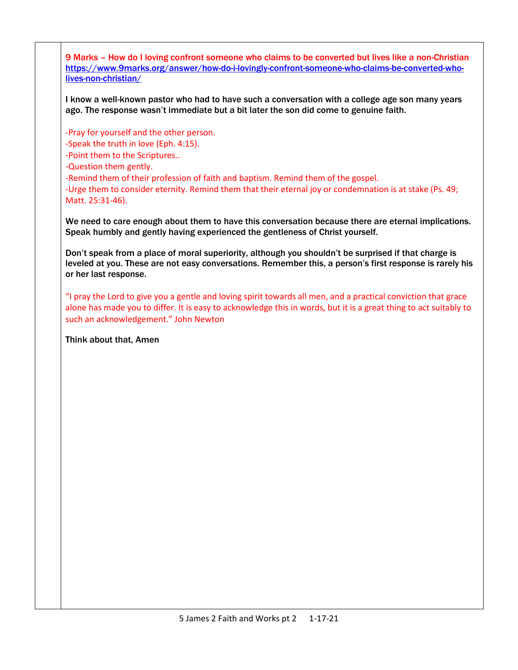9 Marks – How do I loving confront someone who claims to be converted but lives like a non-Christian [https://www.9marks.org/answer/how-do-i-lovingly-confront-someone-who-claims-be-converted-who](https://www.9marks.org/answer/how-do-i-lovingly-confront-someone-who-claims-be-converted-who-lives-non-christian/)[lives-non-christian/](https://www.9marks.org/answer/how-do-i-lovingly-confront-someone-who-claims-be-converted-who-lives-non-christian/)

I know a well-known pastor who had to have such a conversation with a college age son many years ago. The response wasn't immediate but a bit later the son did come to genuine faith.

-Pray for yourself and the other person.

-Speak the truth in love (Eph. 4:15).

-Point them to the Scriptures..

-Question them gently.

-Remind them of their profession of faith and baptism. Remind them of the gospel.

-Urge them to consider eternity. Remind them that their eternal joy or condemnation is at stake (Ps. 49; Matt. 25:31-46).

We need to care enough about them to have this conversation because there are eternal implications. Speak humbly and gently having experienced the gentleness of Christ yourself.

Don't speak from a place of moral superiority, although you shouldn't be surprised if that charge is leveled at you. These are not easy conversations. Remember this, a person's first response is rarely his or her last response.

"I pray the Lord to give you a gentle and loving spirit towards all men, and a practical conviction that grace alone has made you to differ. It is easy to acknowledge this in words, but it is a great thing to act suitably to such an acknowledgement." John Newton

Think about that, Amen